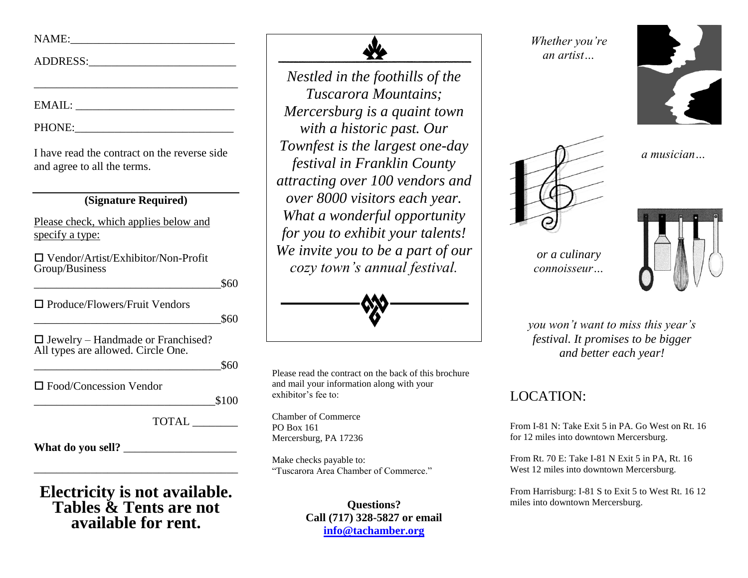## NAME:\_\_\_\_\_\_\_\_\_\_\_\_\_\_\_\_\_\_\_\_\_\_\_\_\_\_\_\_\_

ADDRESS:\_\_\_\_\_\_\_\_\_\_\_\_\_\_\_\_\_\_\_\_\_\_\_\_\_\_

EMAIL:

PHONE:

I have read the contract on the reverse side and agree to all the terms.

\_\_\_\_\_\_\_\_\_\_\_\_\_\_\_\_\_\_\_\_\_\_\_\_\_\_\_\_\_\_\_\_\_\_\_\_

#### **(Signature Required)**

Please check, which applies below and specify a type:

 Vendor/Artist/Exhibitor/Non-Profit Group/Business

 $\text{\$60}$ 

□ Produce/Flowers/Fruit Vendors

 $\text{\$60}$ 

 $\square$  Jewelry – Handmade or Franchised? All types are allowed. Circle One.

 $\text{\$60}$ 

□ Food/Concession Vendor

 $$100$ 

TOTAL \_\_\_\_\_\_\_\_

What do you sell?

**Electricity is not available. Tables & Tents are not available for rent.**

\_\_\_\_\_\_\_\_\_\_\_\_\_\_\_\_\_\_\_\_\_\_\_\_\_\_\_\_\_\_\_\_\_\_\_\_



*Nestled in the foothills of the Tuscarora Mountains; Mercersburg is a quaint town with a historic past. Our Townfest is the largest one-day festival in Franklin County attracting over 100 vendors and over 8000 visitors each year. What a wonderful opportunity for you to exhibit your talents! We invite you to be a part of our cozy town's annual festival.*



Please read the contract on the back of this brochure and mail your information along with your exhibitor's fee to:

Chamber of Commerce PO Box 161 Mercersburg, PA 17236

Make checks payable to: "Tuscarora Area Chamber of Commerce."

> **Questions? Call (717) 328-5827 or email [info@tachamber.org](mailto:info@tachamber.org)**

*Whether you're an artist…*





 *a musician…*

*or a culinary connoisseur…*



*you won't want to miss this year's festival. It promises to be bigger and better each year!*

### LOCATION:

From I-81 N: Take Exit 5 in PA. Go West on Rt. 16 for 12 miles into downtown Mercersburg.

From Rt. 70 E: Take I-81 N Exit 5 in PA, Rt. 16 West 12 miles into downtown Mercersburg.

From Harrisburg: I-81 S to Exit 5 to West Rt. 16 12 miles into downtown Mercersburg.